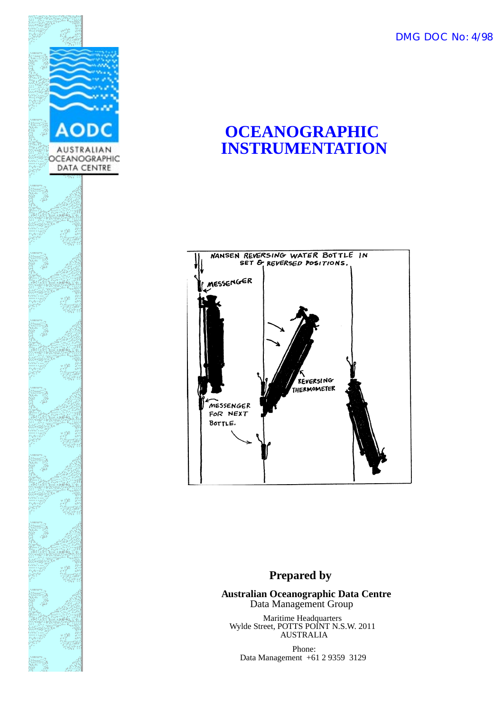DMG DOC No: 4/98



## **OCEANOGRAPHIC INSTRUMENTATION**



#### **Prepared by**

**Australian Oceanographic Data Centre** Data Management Group

Maritime Headquarters Wylde Street, POTTS POINT N.S.W. 2011 AUSTRALIA

Phone: Data Management +61 2 9359 3129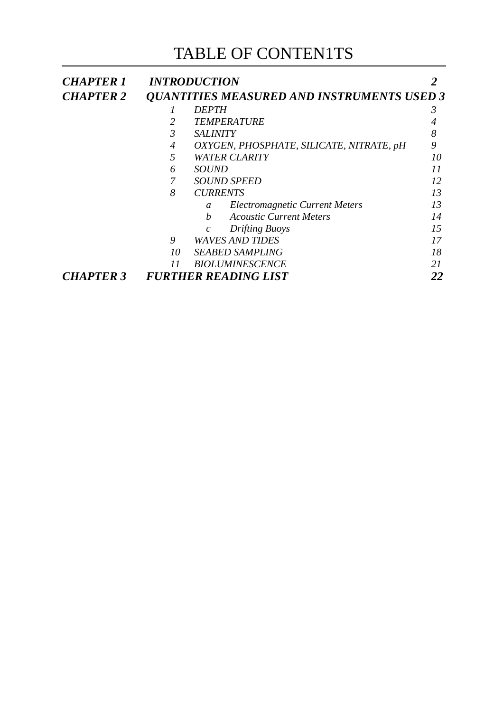## TABLE OF CONTEN1TS

| <b>CHAPTER 1</b>                                | <b>INTRODUCTION</b>                                                                                                                  |                                                        |    |
|-------------------------------------------------|--------------------------------------------------------------------------------------------------------------------------------------|--------------------------------------------------------|----|
| <b>CHAPTER 2</b>                                | <b>QUANTITIES MEASURED AND INSTRUMENTS USED 3</b>                                                                                    |                                                        |    |
|                                                 | <i><b>DEPTH</b></i><br><b>TEMPERATURE</b><br>2                                                                                       |                                                        | 3  |
|                                                 |                                                                                                                                      |                                                        |    |
|                                                 | $\mathfrak{Z}$<br><b>SALINITY</b><br>OXYGEN, PHOSPHATE, SILICATE, NITRATE, pH<br>4<br>5<br><b>WATER CLARITY</b><br><i>SOUND</i><br>6 | 8                                                      |    |
|                                                 |                                                                                                                                      | 9                                                      |    |
|                                                 |                                                                                                                                      | 10                                                     |    |
|                                                 |                                                                                                                                      | 11                                                     |    |
|                                                 |                                                                                                                                      | <b>SOUND SPEED</b>                                     | 12 |
|                                                 | 8                                                                                                                                    | <b>CURRENTS</b>                                        | 13 |
|                                                 |                                                                                                                                      | <b>Electromagnetic Current Meters</b><br>$\mathfrak a$ | 13 |
|                                                 |                                                                                                                                      | <b>Acoustic Current Meters</b><br>$\boldsymbol{b}$     | 14 |
|                                                 |                                                                                                                                      | <b>Drifting Buoys</b><br>$\mathcal{C}$                 | 15 |
|                                                 | 9                                                                                                                                    | <b>WAVES AND TIDES</b>                                 | 17 |
|                                                 | 10                                                                                                                                   | <b>SEABED SAMPLING</b>                                 | 18 |
|                                                 | 11                                                                                                                                   | <b>BIOLUMINESCENCE</b>                                 | 21 |
| <b>FURTHER READING LIST</b><br><b>CHAPTER 3</b> |                                                                                                                                      | 22                                                     |    |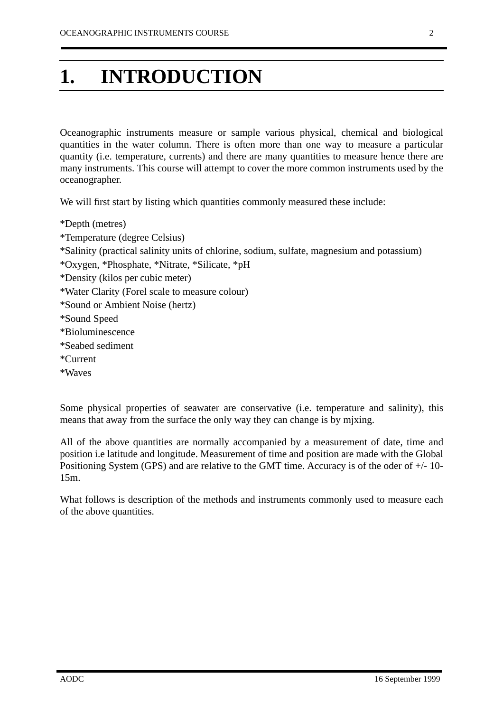# <span id="page-2-0"></span>**1. INTRODUCTION**

Oceanographic instruments measure or sample various physical, chemical and biological quantities in the water column. There is often more than one way to measure a particular quantity (i.e. temperature, currents) and there are many quantities to measure hence there are many instruments. This course will attempt to cover the more common instruments used by the oceanographer.

We will first start by listing which quantities commonly measured these include:

\*Depth (metres) \*Temperature (degree Celsius) \*Salinity (practical salinity units of chlorine, sodium, sulfate, magnesium and potassium) \*Oxygen, \*Phosphate, \*Nitrate, \*Silicate, \*pH \*Density (kilos per cubic meter) \*Water Clarity (Forel scale to measure colour) \*Sound or Ambient Noise (hertz) \*Sound Speed \*Bioluminescence \*Seabed sediment \*Current \*Waves

Some physical properties of seawater are conservative (i.e. temperature and salinity), this means that away from the surface the only way they can change is by mjxing.

All of the above quantities are normally accompanied by a measurement of date, time and position i.e latitude and longitude. Measurement of time and position are made with the Global Positioning System (GPS) and are relative to the GMT time. Accuracy is of the oder of +/- 10- 15m.

What follows is description of the methods and instruments commonly used to measure each of the above quantities.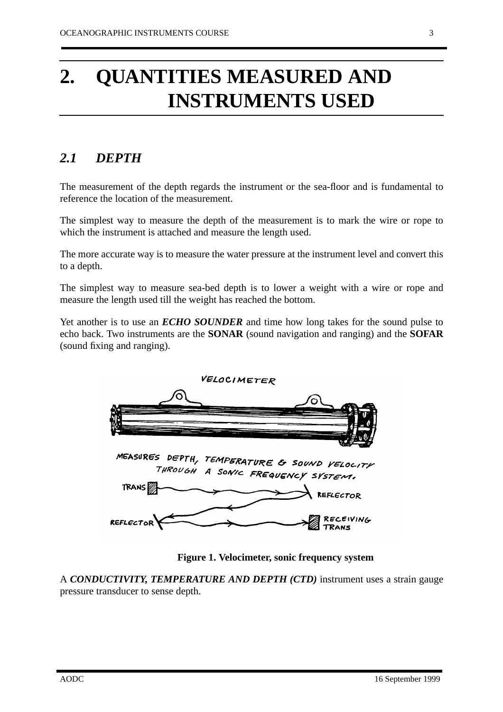# <span id="page-3-0"></span>**2. QUANTITIES MEASURED AND INSTRUMENTS USED**

### *2.1 DEPTH*

The measurement of the depth regards the instrument or the sea-floor and is fundamental to reference the location of the measurement.

The simplest way to measure the depth of the measurement is to mark the wire or rope to which the instrument is attached and measure the length used.

The more accurate way is to measure the water pressure at the instrument level and convert this to a depth.

The simplest way to measure sea-bed depth is to lower a weight with a wire or rope and measure the length used till the weight has reached the bottom.

Yet another is to use an *ECHO SOUNDER* and time how long takes for the sound pulse to echo back. Two instruments are the **SONAR** (sound navigation and ranging) and the **SOFAR** (sound fixing and ranging).



**Figure 1. Velocimeter, sonic frequency system**

A *CONDUCTIVITY, TEMPERATURE AND DEPTH (CTD)* instrument uses a strain gauge pressure transducer to sense depth.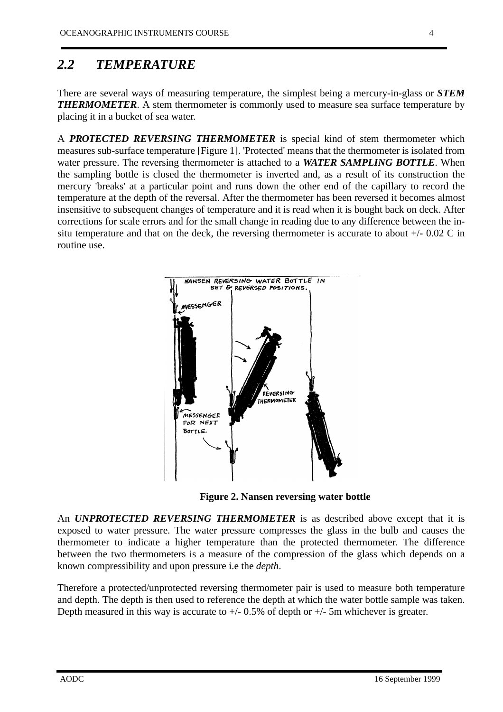### <span id="page-4-0"></span>*2.2 TEMPERATURE*

There are several ways of measuring temperature, the simplest being a mercury-in-glass or *STEM* **THERMOMETER.** A stem thermometer is commonly used to measure sea surface temperature by placing it in a bucket of sea water.

A *PROTECTED REVERSING THERMOMETER* is special kind of stem thermometer which measures sub-surface temperature [Figure 1]. 'Protected' means that the thermometer is isolated from water pressure. The reversing thermometer is attached to a *WATER SAMPLING BOTTLE*. When the sampling bottle is closed the thermometer is inverted and, as a result of its construction the mercury 'breaks' at a particular point and runs down the other end of the capillary to record the temperature at the depth of the reversal. After the thermometer has been reversed it becomes almost insensitive to subsequent changes of temperature and it is read when it is bought back on deck. After corrections for scale errors and for the small change in reading due to any difference between the insitu temperature and that on the deck, the reversing thermometer is accurate to about +/- 0.02 C in routine use.



**Figure 2. Nansen reversing water bottle**

An *UNPROTECTED REVERSING THERMOMETER* is as described above except that it is exposed to water pressure. The water pressure compresses the glass in the bulb and causes the thermometer to indicate a higher temperature than the protected thermometer. The difference between the two thermometers is a measure of the compression of the glass which depends on a known compressibility and upon pressure i.e the *depth*.

Therefore a protected/unprotected reversing thermometer pair is used to measure both temperature and depth. The depth is then used to reference the depth at which the water bottle sample was taken. Depth measured in this way is accurate to  $+/- 0.5\%$  of depth or  $+/- 5$ m whichever is greater.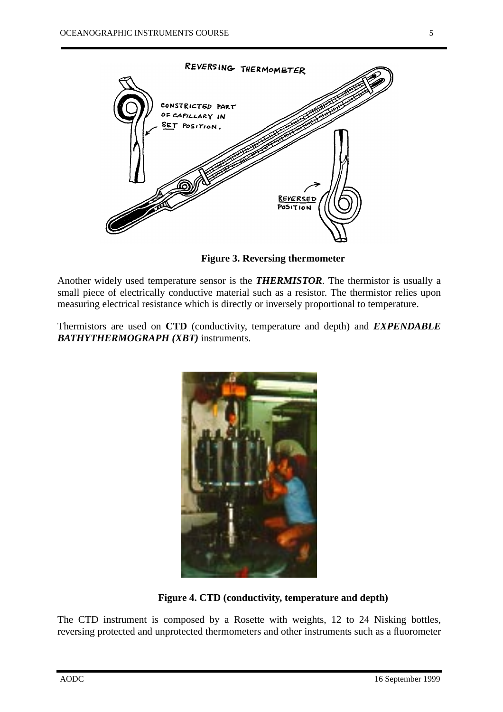

REVERSED POSITION

**Figure 3. Reversing thermometer**

Another widely used temperature sensor is the *THERMISTOR*. The thermistor is usually a small piece of electrically conductive material such as a resistor. The thermistor relies upon measuring electrical resistance which is directly or inversely proportional to temperature.

Thermistors are used on **CTD** (conductivity, temperature and depth) and *EXPENDABLE BATHYTHERMOGRAPH (XBT)* instruments.



**Figure 4. CTD (conductivity, temperature and depth)**

The CTD instrument is composed by a Rosette with weights, 12 to 24 Nisking bottles, reversing protected and unprotected thermometers and other instruments such as a fluorometer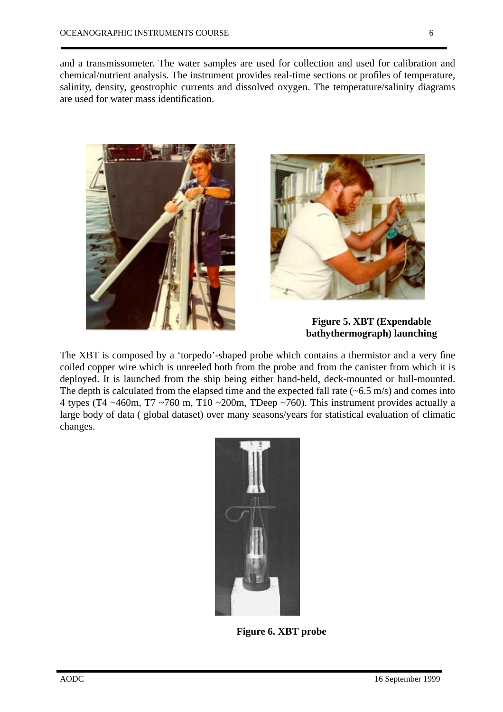and a transmissometer. The water samples are used for collection and used for calibration and chemical/nutrient analysis. The instrument provides real-time sections or profiles of temperature, salinity, density, geostrophic currents and dissolved oxygen. The temperature/salinity diagrams are used for water mass identification.





**Figure 5. XBT (Expendable bathythermograph) launching**

The XBT is composed by a 'torpedo'-shaped probe which contains a thermistor and a very fine coiled copper wire which is unreeled both from the probe and from the canister from which it is deployed. It is launched from the ship being either hand-held, deck-mounted or hull-mounted. The depth is calculated from the elapsed time and the expected fall rate  $(-6.5 \text{ m/s})$  and comes into 4 types (T4  $\sim$ 460m, T7  $\sim$ 760 m, T10  $\sim$ 200m, TDeep  $\sim$ 760). This instrument provides actually a large body of data ( global dataset) over many seasons/years for statistical evaluation of climatic changes.



**Figure 6. XBT probe**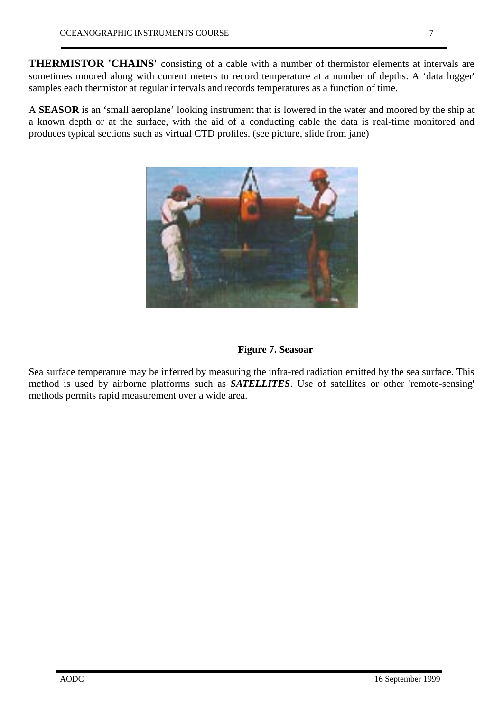**THERMISTOR 'CHAINS'** consisting of a cable with a number of thermistor elements at intervals are sometimes moored along with current meters to record temperature at a number of depths. A 'data logger' samples each thermistor at regular intervals and records temperatures as a function of time.

A **SEASOR** is an 'small aeroplane' looking instrument that is lowered in the water and moored by the ship at a known depth or at the surface, with the aid of a conducting cable the data is real-time monitored and produces typical sections such as virtual CTD profiles. (see picture, slide from jane)



#### **Figure 7. Seasoar**

Sea surface temperature may be inferred by measuring the infra-red radiation emitted by the sea surface. This method is used by airborne platforms such as *SATELLITES*. Use of satellites or other 'remote-sensing' methods permits rapid measurement over a wide area.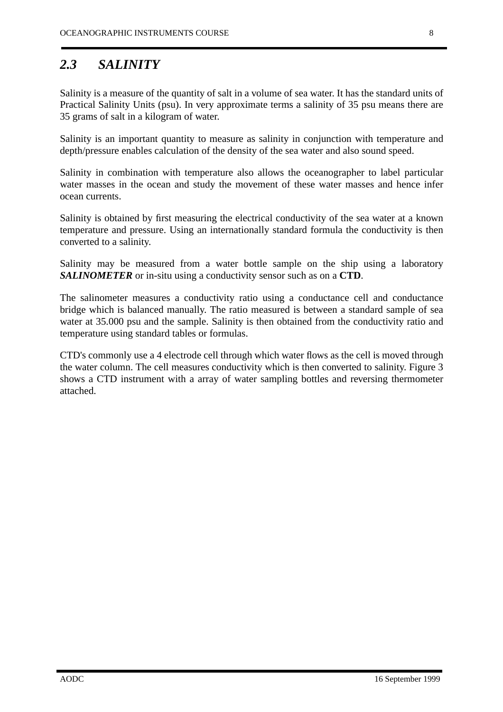### *2.3 SALINITY*

Salinity is a measure of the quantity of salt in a volume of sea water. It has the standard units of Practical Salinity Units (psu). In very approximate terms a salinity of 35 psu means there are 35 grams of salt in a kilogram of water.

Salinity is an important quantity to measure as salinity in conjunction with temperature and depth/pressure enables calculation of the density of the sea water and also sound speed.

Salinity in combination with temperature also allows the oceanographer to label particular water masses in the ocean and study the movement of these water masses and hence infer ocean currents.

Salinity is obtained by first measuring the electrical conductivity of the sea water at a known temperature and pressure. Using an internationally standard formula the conductivity is then converted to a salinity.

Salinity may be measured from a water bottle sample on the ship using a laboratory *SALINOMETER* or in-situ using a conductivity sensor such as on a **CTD**.

The salinometer measures a conductivity ratio using a conductance cell and conductance bridge which is balanced manually. The ratio measured is between a standard sample of sea water at 35.000 psu and the sample. Salinity is then obtained from the conductivity ratio and temperature using standard tables or formulas.

CTD's commonly use a 4 electrode cell through which water flows as the cell is moved through the water column. The cell measures conductivity which is then converted to salinity. Figure 3 shows a CTD instrument with a array of water sampling bottles and reversing thermometer attached.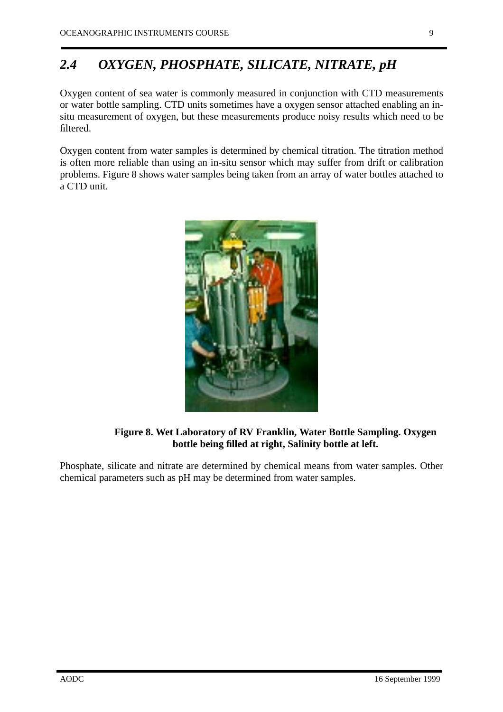### <span id="page-9-0"></span>*2.4 OXYGEN, PHOSPHATE, SILICATE, NITRATE, pH*

Oxygen content of sea water is commonly measured in conjunction with CTD measurements or water bottle sampling. CTD units sometimes have a oxygen sensor attached enabling an insitu measurement of oxygen, but these measurements produce noisy results which need to be filtered.

Oxygen content from water samples is determined by chemical titration. The titration method is often more reliable than using an in-situ sensor which may suffer from drift or calibration problems. Figure 8 shows water samples being taken from an array of water bottles attached to a CTD unit.



**Figure 8. Wet Laboratory of RV Franklin, Water Bottle Sampling. Oxygen bottle being filled at right, Salinity bottle at left.**

Phosphate, silicate and nitrate are determined by chemical means from water samples. Other chemical parameters such as pH may be determined from water samples.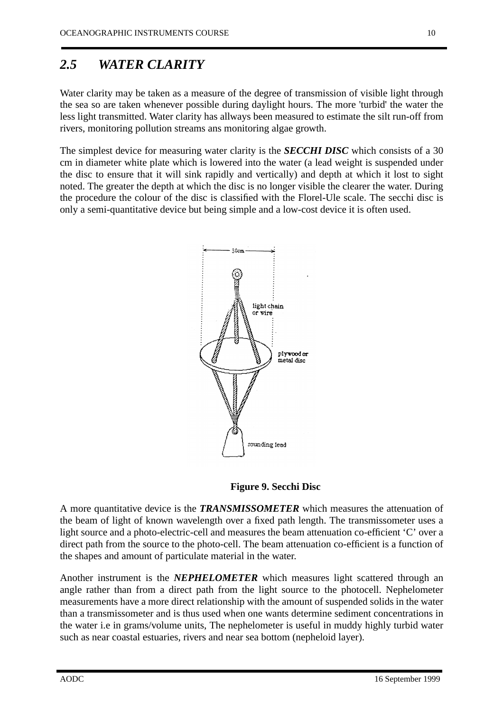#### <span id="page-10-0"></span>*2.5 WATER CLARITY*

Water clarity may be taken as a measure of the degree of transmission of visible light through the sea so are taken whenever possible during daylight hours. The more 'turbid' the water the less light transmitted. Water clarity has allways been measured to estimate the silt run-off from rivers, monitoring pollution streams ans monitoring algae growth.

The simplest device for measuring water clarity is the *SECCHI DISC* which consists of a 30 cm in diameter white plate which is lowered into the water (a lead weight is suspended under the disc to ensure that it will sink rapidly and vertically) and depth at which it lost to sight noted. The greater the depth at which the disc is no longer visible the clearer the water. During the procedure the colour of the disc is classified with the Florel-Ule scale. The secchi disc is only a semi-quantitative device but being simple and a low-cost device it is often used.



**Figure 9. Secchi Disc**

A more quantitative device is the *TRANSMISSOMETER* which measures the attenuation of the beam of light of known wavelength over a fixed path length. The transmissometer uses a light source and a photo-electric-cell and measures the beam attenuation co-efficient 'C' over a direct path from the source to the photo-cell. The beam attenuation co-efficient is a function of the shapes and amount of particulate material in the water.

Another instrument is the *NEPHELOMETER* which measures light scattered through an angle rather than from a direct path from the light source to the photocell. Nephelometer measurements have a more direct relationship with the amount of suspended solids in the water than a transmissometer and is thus used when one wants determine sediment concentrations in the water i.e in grams/volume units, The nephelometer is useful in muddy highly turbid water such as near coastal estuaries, rivers and near sea bottom (nepheloid layer).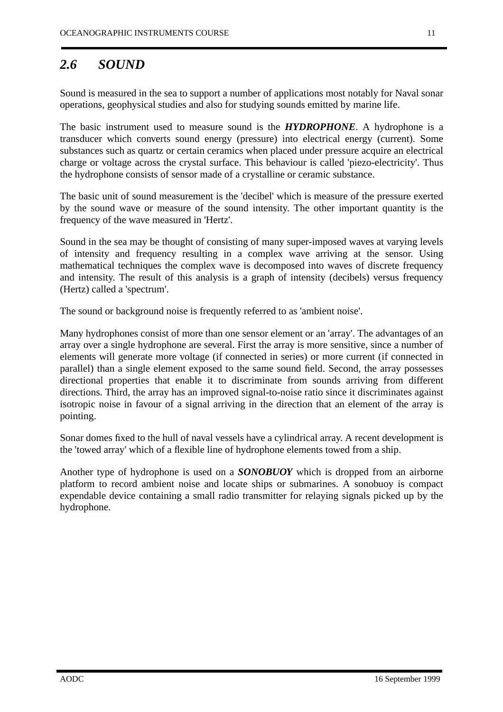#### <span id="page-11-0"></span>*2.6 SOUND*

Sound is measured in the sea to support a number of applications most notably for Naval sonar operations, geophysical studies and also for studying sounds emitted by marine life.

The basic instrument used to measure sound is the *HYDROPHONE*. A hydrophone is a transducer which converts sound energy (pressure) into electrical energy (current). Some substances such as quartz or certain ceramics when placed under pressure acquire an electrical charge or voltage across the crystal surface. This behaviour is called 'piezo-electricity'. Thus the hydrophone consists of sensor made of a crystalline or ceramic substance.

The basic unit of sound measurement is the 'decibel' which is measure of the pressure exerted by the sound wave or measure of the sound intensity. The other important quantity is the frequency of the wave measured in 'Hertz'.

Sound in the sea may be thought of consisting of many super-imposed waves at varying levels of intensity and frequency resulting in a complex wave arriving at the sensor. Using mathematical techniques the complex wave is decomposed into waves of discrete frequency and intensity. The result of this analysis is a graph of intensity (decibels) versus frequency (Hertz) called a 'spectrum'.

The sound or background noise is frequently referred to as 'ambient noise'.

Many hydrophones consist of more than one sensor element or an 'array'. The advantages of an array over a single hydrophone are several. First the array is more sensitive, since a number of elements will generate more voltage (if connected in series) or more current (if connected in parallel) than a single element exposed to the same sound field. Second, the array possesses directional properties that enable it to discriminate from sounds arriving from different directions. Third, the array has an improved signal-to-noise ratio since it discriminates against isotropic noise in favour of a signal arriving in the direction that an element of the array is pointing.

Sonar domes fixed to the hull of naval vessels have a cylindrical array. A recent development is the 'towed array' which of a flexible line of hydrophone elements towed from a ship.

Another type of hydrophone is used on a *SONOBUOY* which is dropped from an airborne platform to record ambient noise and locate ships or submarines. A sonobuoy is compact expendable device containing a small radio transmitter for relaying signals picked up by the hydrophone.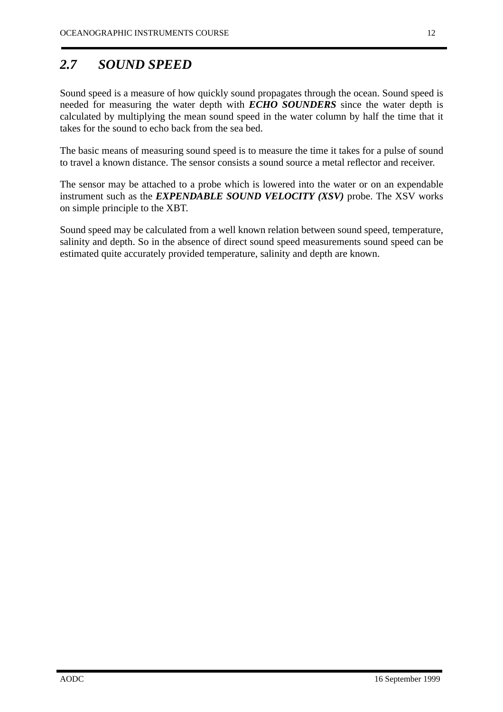### *2.7 SOUND SPEED*

Sound speed is a measure of how quickly sound propagates through the ocean. Sound speed is needed for measuring the water depth with *ECHO SOUNDERS* since the water depth is calculated by multiplying the mean sound speed in the water column by half the time that it takes for the sound to echo back from the sea bed.

The basic means of measuring sound speed is to measure the time it takes for a pulse of sound to travel a known distance. The sensor consists a sound source a metal reflector and receiver.

The sensor may be attached to a probe which is lowered into the water or on an expendable instrument such as the *EXPENDABLE SOUND VELOCITY (XSV)* probe. The XSV works on simple principle to the XBT.

Sound speed may be calculated from a well known relation between sound speed, temperature, salinity and depth. So in the absence of direct sound speed measurements sound speed can be estimated quite accurately provided temperature, salinity and depth are known.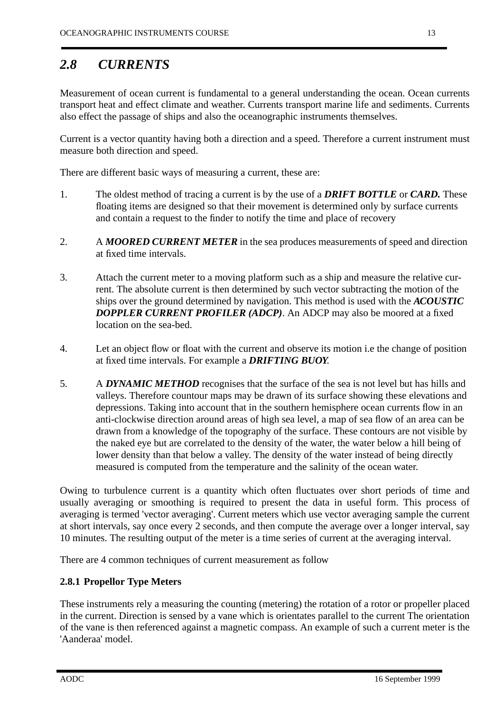### <span id="page-13-0"></span>*2.8 CURRENTS*

Measurement of ocean current is fundamental to a general understanding the ocean. Ocean currents transport heat and effect climate and weather. Currents transport marine life and sediments. Currents also effect the passage of ships and also the oceanographic instruments themselves.

Current is a vector quantity having both a direction and a speed. Therefore a current instrument must measure both direction and speed.

There are different basic ways of measuring a current, these are:

- 1. The oldest method of tracing a current is by the use of a *DRIFT BOTTLE* or *CARD.* These floating items are designed so that their movement is determined only by surface currents and contain a request to the finder to notify the time and place of recovery
- 2. A *MOORED CURRENT METER* in the sea produces measurements of speed and direction at fixed time intervals.
- 3. Attach the current meter to a moving platform such as a ship and measure the relative current. The absolute current is then determined by such vector subtracting the motion of the ships over the ground determined by navigation. This method is used with the *ACOUSTIC DOPPLER CURRENT PROFILER (ADCP)*. An ADCP may also be moored at a fixed location on the sea-bed.
- 4. Let an object flow or float with the current and observe its motion i.e the change of position at fixed time intervals. For example a *DRIFTING BUOY*.
- 5. A *DYNAMIC METHOD* recognises that the surface of the sea is not level but has hills and valleys. Therefore countour maps may be drawn of its surface showing these elevations and depressions. Taking into account that in the southern hemisphere ocean currents flow in an anti-clockwise direction around areas of high sea level, a map of sea flow of an area can be drawn from a knowledge of the topography of the surface. These contours are not visible by the naked eye but are correlated to the density of the water, the water below a hill being of lower density than that below a valley. The density of the water instead of being directly measured is computed from the temperature and the salinity of the ocean water.

Owing to turbulence current is a quantity which often fluctuates over short periods of time and usually averaging or smoothing is required to present the data in useful form. This process of averaging is termed 'vector averaging'. Current meters which use vector averaging sample the current at short intervals, say once every 2 seconds, and then compute the average over a longer interval, say 10 minutes. The resulting output of the meter is a time series of current at the averaging interval.

There are 4 common techniques of current measurement as follow

#### **2.8.1 Propellor Type Meters**

These instruments rely a measuring the counting (metering) the rotation of a rotor or propeller placed in the current. Direction is sensed by a vane which is orientates parallel to the current The orientation of the vane is then referenced against a magnetic compass. An example of such a current meter is the 'Aanderaa' model.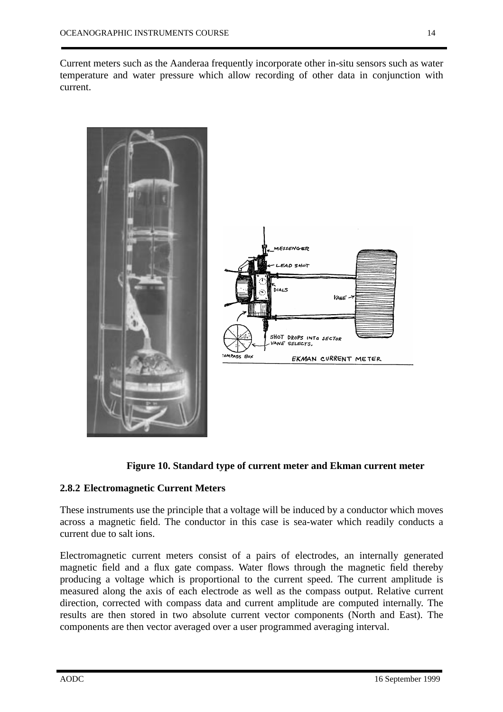<span id="page-14-0"></span>

#### **Figure 10. Standard type of current meter and Ekman current meter**

#### **2.8.2 Electromagnetic Current Meters**

These instruments use the principle that a voltage will be induced by a conductor which moves across a magnetic field. The conductor in this case is sea-water which readily conducts a current due to salt ions.

Electromagnetic current meters consist of a pairs of electrodes, an internally generated magnetic field and a flux gate compass. Water flows through the magnetic field thereby producing a voltage which is proportional to the current speed. The current amplitude is measured along the axis of each electrode as well as the compass output. Relative current direction, corrected with compass data and current amplitude are computed internally. The results are then stored in two absolute current vector components (North and East). The components are then vector averaged over a user programmed averaging interval.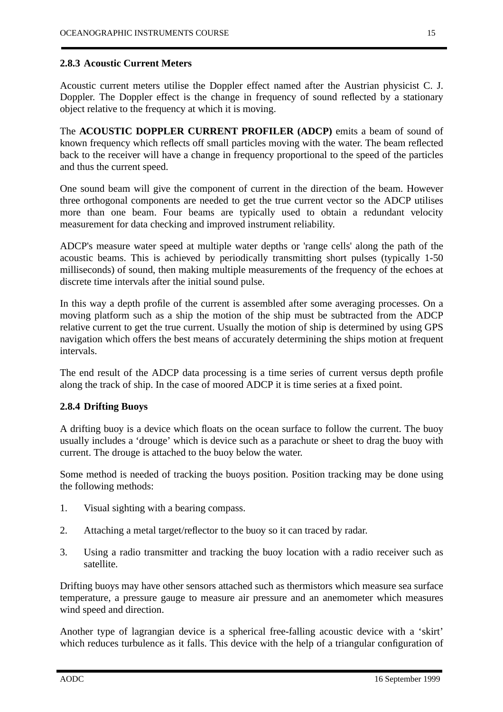#### <span id="page-15-0"></span>**2.8.3 Acoustic Current Meters**

Acoustic current meters utilise the Doppler effect named after the Austrian physicist C. J. Doppler. The Doppler effect is the change in frequency of sound reflected by a stationary object relative to the frequency at which it is moving.

The **ACOUSTIC DOPPLER CURRENT PROFILER (ADCP)** emits a beam of sound of known frequency which reflects off small particles moving with the water. The beam reflected back to the receiver will have a change in frequency proportional to the speed of the particles and thus the current speed.

One sound beam will give the component of current in the direction of the beam. However three orthogonal components are needed to get the true current vector so the ADCP utilises more than one beam. Four beams are typically used to obtain a redundant velocity measurement for data checking and improved instrument reliability.

ADCP's measure water speed at multiple water depths or 'range cells' along the path of the acoustic beams. This is achieved by periodically transmitting short pulses (typically 1-50 milliseconds) of sound, then making multiple measurements of the frequency of the echoes at discrete time intervals after the initial sound pulse.

In this way a depth profile of the current is assembled after some averaging processes. On a moving platform such as a ship the motion of the ship must be subtracted from the ADCP relative current to get the true current. Usually the motion of ship is determined by using GPS navigation which offers the best means of accurately determining the ships motion at frequent intervals.

The end result of the ADCP data processing is a time series of current versus depth profile along the track of ship. In the case of moored ADCP it is time series at a fixed point.

#### **2.8.4 Drifting Buoys**

A drifting buoy is a device which floats on the ocean surface to follow the current. The buoy usually includes a 'drouge' which is device such as a parachute or sheet to drag the buoy with current. The drouge is attached to the buoy below the water.

Some method is needed of tracking the buoys position. Position tracking may be done using the following methods:

- 1. Visual sighting with a bearing compass.
- 2. Attaching a metal target/reflector to the buoy so it can traced by radar.
- 3. Using a radio transmitter and tracking the buoy location with a radio receiver such as satellite.

Drifting buoys may have other sensors attached such as thermistors which measure sea surface temperature, a pressure gauge to measure air pressure and an anemometer which measures wind speed and direction.

Another type of lagrangian device is a spherical free-falling acoustic device with a 'skirt' which reduces turbulence as it falls. This device with the help of a triangular configuration of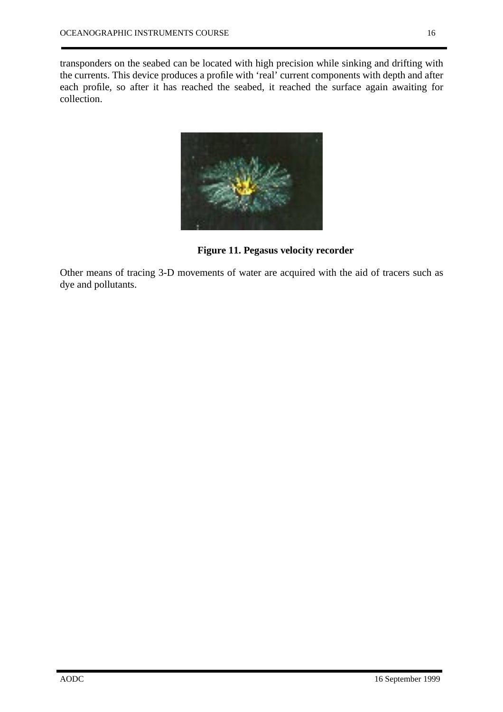transponders on the seabed can be located with high precision while sinking and drifting with the currents. This device produces a profile with 'real' current components with depth and after each profile, so after it has reached the seabed, it reached the surface again awaiting for collection.



**Figure 11. Pegasus velocity recorder**

Other means of tracing 3-D movements of water are acquired with the aid of tracers such as dye and pollutants.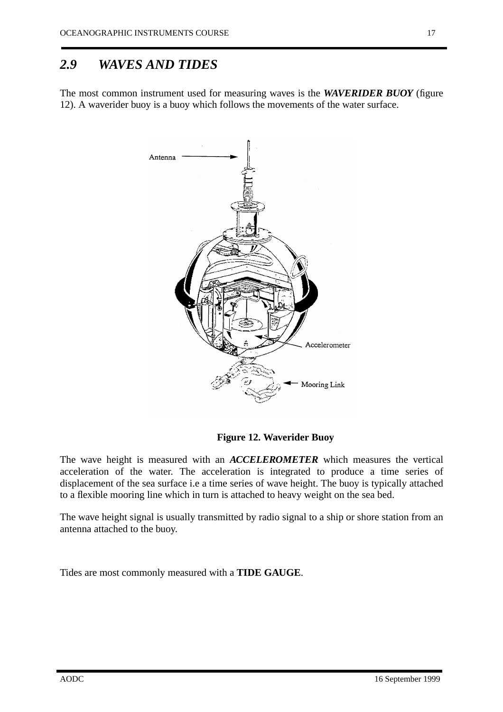#### <span id="page-17-0"></span>*2.9 WAVES AND TIDES*

The most common instrument used for measuring waves is the *WAVERIDER BUOY* (figure 12). A waverider buoy is a buoy which follows the movements of the water surface.



**Figure 12. Waverider Buoy**

The wave height is measured with an *ACCELEROMETER* which measures the vertical acceleration of the water. The acceleration is integrated to produce a time series of displacement of the sea surface i.e a time series of wave height. The buoy is typically attached to a flexible mooring line which in turn is attached to heavy weight on the sea bed.

The wave height signal is usually transmitted by radio signal to a ship or shore station from an antenna attached to the buoy.

Tides are most commonly measured with a **TIDE GAUGE**.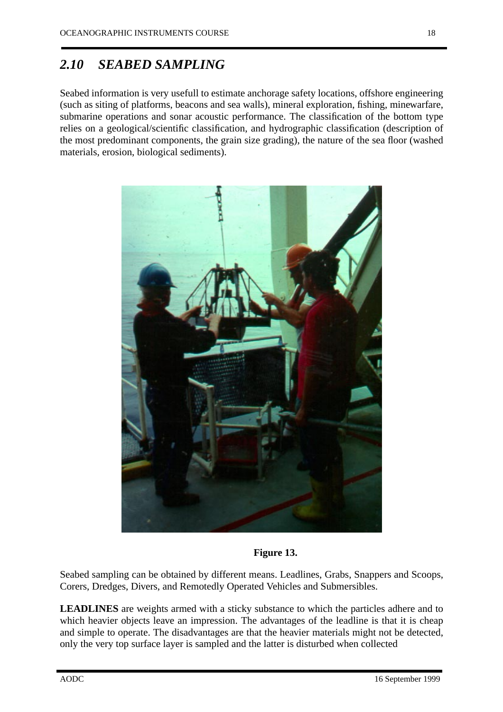#### <span id="page-18-0"></span>*2.10 SEABED SAMPLING*

Seabed information is very usefull to estimate anchorage safety locations, offshore engineering (such as siting of platforms, beacons and sea walls), mineral exploration, fishing, minewarfare, submarine operations and sonar acoustic performance. The classification of the bottom type relies on a geological/scientific classification, and hydrographic classification (description of the most predominant components, the grain size grading), the nature of the sea floor (washed materials, erosion, biological sediments).



**Figure 13.**

Seabed sampling can be obtained by different means. Leadlines, Grabs, Snappers and Scoops, Corers, Dredges, Divers, and Remotedly Operated Vehicles and Submersibles.

**LEADLINES** are weights armed with a sticky substance to which the particles adhere and to which heavier objects leave an impression. The advantages of the leadline is that it is cheap and simple to operate. The disadvantages are that the heavier materials might not be detected, only the very top surface layer is sampled and the latter is disturbed when collected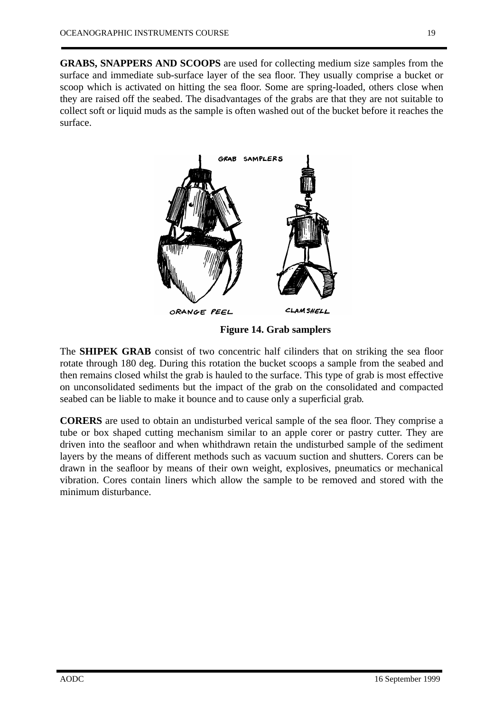surface.



**Figure 14. Grab samplers**

The **SHIPEK GRAB** consist of two concentric half cilinders that on striking the sea floor rotate through 180 deg. During this rotation the bucket scoops a sample from the seabed and then remains closed whilst the grab is hauled to the surface. This type of grab is most effective on unconsolidated sediments but the impact of the grab on the consolidated and compacted seabed can be liable to make it bounce and to cause only a superficial grab.

**CORERS** are used to obtain an undisturbed verical sample of the sea floor. They comprise a tube or box shaped cutting mechanism similar to an apple corer or pastry cutter. They are driven into the seafloor and when whithdrawn retain the undisturbed sample of the sediment layers by the means of different methods such as vacuum suction and shutters. Corers can be drawn in the seafloor by means of their own weight, explosives, pneumatics or mechanical vibration. Cores contain liners which allow the sample to be removed and stored with the minimum disturbance.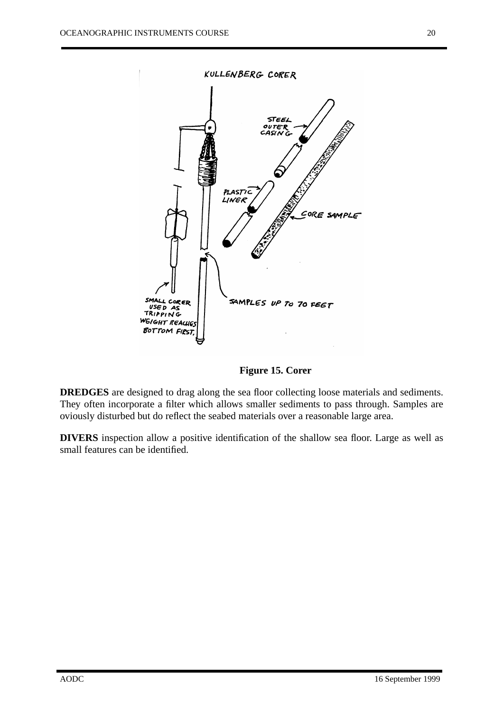

**Figure 15. Corer**

**DREDGES** are designed to drag along the sea floor collecting loose materials and sediments. They often incorporate a filter which allows smaller sediments to pass through. Samples are oviously disturbed but do reflect the seabed materials over a reasonable large area.

**DIVERS** inspection allow a positive identification of the shallow sea floor. Large as well as small features can be identified.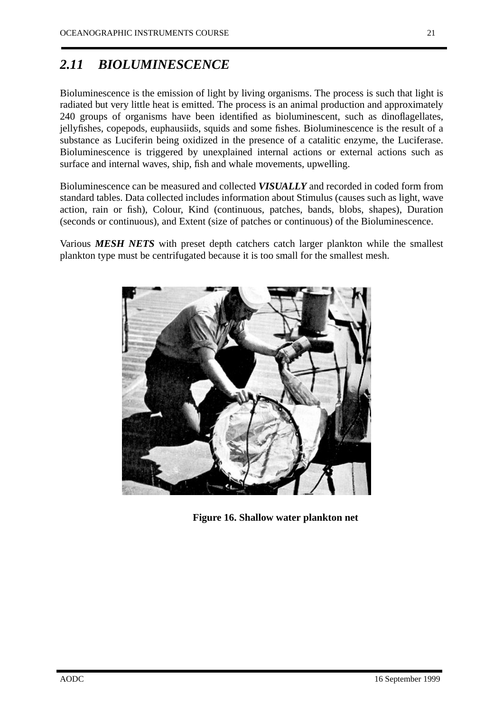### *2.11 BIOLUMINESCENCE*

Bioluminescence is the emission of light by living organisms. The process is such that light is radiated but very little heat is emitted. The process is an animal production and approximately 240 groups of organisms have been identified as bioluminescent, such as dinoflagellates, jellyfishes, copepods, euphausiids, squids and some fishes. Bioluminescence is the result of a substance as Luciferin being oxidized in the presence of a catalitic enzyme, the Luciferase. Bioluminescence is triggered by unexplained internal actions or external actions such as surface and internal waves, ship, fish and whale movements, upwelling.

Bioluminescence can be measured and collected *VISUALLY* and recorded in coded form from standard tables. Data collected includes information about Stimulus (causes such as light, wave action, rain or fish), Colour, Kind (continuous, patches, bands, blobs, shapes), Duration (seconds or continuous), and Extent (size of patches or continuous) of the Bioluminescence.

Various *MESH NETS* with preset depth catchers catch larger plankton while the smallest plankton type must be centrifugated because it is too small for the smallest mesh.



**Figure 16. Shallow water plankton net**